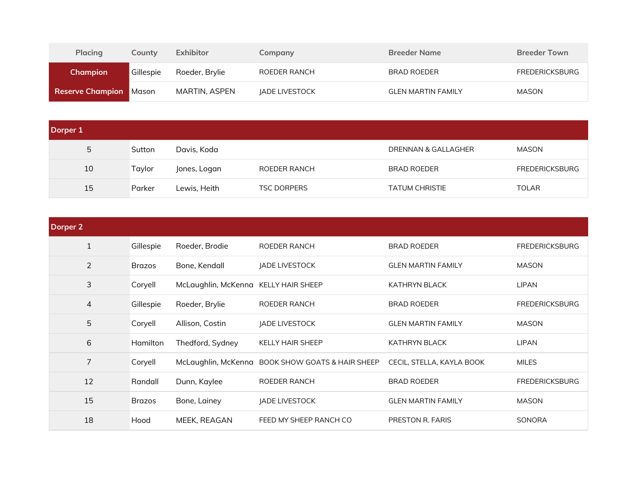| <b>Placing</b>                | Countv    | Exhibitor      | Company               | <b>Breeder Name</b>       | <b>Breeder Town</b>   |
|-------------------------------|-----------|----------------|-----------------------|---------------------------|-----------------------|
| <b>Champion</b>               | Gillespie | Roeder, Brylie | ROEDER RANCH          | BRAD ROEDER               | <b>FREDERICKSBURG</b> |
| <b>Reserve Champion Mason</b> |           | MARTIN, ASPEN  | <b>JADE LIVESTOCK</b> | <b>GLEN MARTIN FAMILY</b> | MASON                 |

| Dorper 1 |        |              |                    |                       |                       |
|----------|--------|--------------|--------------------|-----------------------|-----------------------|
| 5        | Sutton | Davis, Koda  |                    | DRENNAN & GALLAGHER   | MASON                 |
| 10       | Taylor | Jones, Logan | ROEDER RANCH       | <b>BRAD ROEDER</b>    | <b>FREDERICKSBURG</b> |
| 15       | Parker | Lewis, Heith | <b>TSC DORPERS</b> | <b>TATUM CHRISTIE</b> | <b>TOLAR</b>          |

| Dorper 2       |               |                                      |                                                  |                           |                       |
|----------------|---------------|--------------------------------------|--------------------------------------------------|---------------------------|-----------------------|
|                | Gillespie     | Roeder, Brodie                       | ROEDER RANCH                                     | <b>BRAD ROEDER</b>        | <b>FREDERICKSBURG</b> |
| 2              | <b>Brazos</b> | Bone, Kendall                        | JADE LIVESTOCK                                   | <b>GLEN MARTIN FAMILY</b> | <b>MASON</b>          |
| 3              | Coryell       | McLaughlin, McKenna KELLY HAIR SHEEP |                                                  | <b>KATHRYN BLACK</b>      | <b>LIPAN</b>          |
| $\overline{4}$ | Gillespie     | Roeder, Brylie                       | ROEDER RANCH                                     | <b>BRAD ROEDER</b>        | <b>FREDERICKSBURG</b> |
| 5              | Coryell       | Allison, Costin                      | JADE LIVESTOCK                                   | <b>GLEN MARTIN FAMILY</b> | <b>MASON</b>          |
| 6              | Hamilton      | Thedford, Sydney                     | <b>KELLY HAIR SHEEP</b>                          | <b>KATHRYN BLACK</b>      | <b>LIPAN</b>          |
| $\overline{7}$ | Coryell       |                                      | McLaughlin, McKenna BOOK SHOW GOATS & HAIR SHEEP | CECIL, STELLA, KAYLA BOOK | <b>MILES</b>          |
| 12             | Randall       | Dunn, Kaylee                         | ROEDER RANCH                                     | <b>BRAD ROEDER</b>        | <b>FREDERICKSBURG</b> |
| 15             | <b>Brazos</b> | Bone, Lainey                         | JADE LIVESTOCK                                   | <b>GLEN MARTIN FAMILY</b> | <b>MASON</b>          |
| 18             | Hood          | MEEK, REAGAN                         | FEED MY SHEEP RANCH CO                           | PRESTON R. FARIS          | SONORA                |